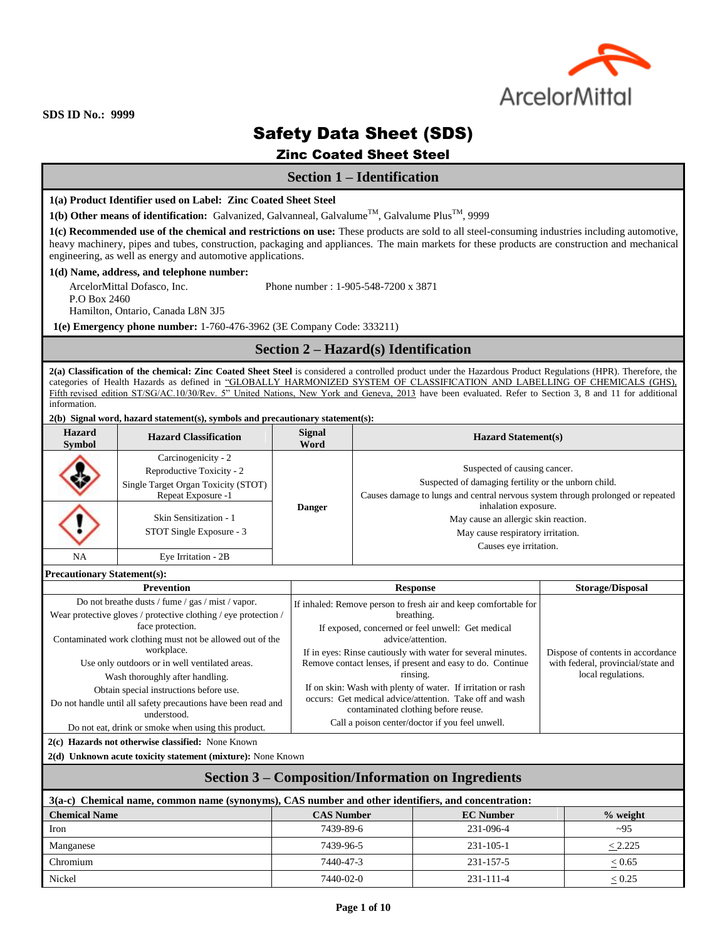

# Safety Data Sheet (SDS)

Zinc Coated Sheet Steel

#### **Section 1 – Identification**

#### **1(a) Product Identifier used on Label: Zinc Coated Sheet Steel**

1(b) Other means of identification: Galvanized, Galvanneal, Galvalume<sup>TM</sup>, Galvalume Plus<sup>TM</sup>, 9999

**1(c) Recommended use of the chemical and restrictions on use:** These products are sold to all steel-consuming industries including automotive, heavy machinery, pipes and tubes, construction, packaging and appliances. The main markets for these products are construction and mechanical engineering, as well as energy and automotive applications.

**1(d) Name, address, and telephone number:**

Phone number : 1-905-548-7200 x 3871

ArcelorMittal Dofasco, Inc. P.O Box 2460

Hamilton, Ontario, Canada L8N 3J5

**1(e) Emergency phone number:** 1-760-476-3962 (3E Company Code: 333211)

### **Section 2 – Hazard(s) Identification**

**2(a) Classification of the chemical: Zinc Coated Sheet Steel** is considered a controlled product under the Hazardous Product Regulations (HPR). Therefore, the categories of Health Hazards as defined in "GLOBALLY HARMONIZED SYSTEM OF CLASSIFICATION AND LABELLING OF CHEMICALS (GHS), Fifth revised edition ST/SG/AC.10/30/Rev. 5" United Nations, New York and Geneva, 2013 have been evaluated. Refer to Section 3, 8 and 11 for additional information.

**2(b) Signal word, hazard statement(s), symbols and precautionary statement(s):**

| <b>Hazard</b><br><b>Symbol</b> | <b>Hazard Classification</b>                                                                                  | <b>Signal</b><br>Word | <b>Hazard Statement(s)</b>                                                                                                                                              |
|--------------------------------|---------------------------------------------------------------------------------------------------------------|-----------------------|-------------------------------------------------------------------------------------------------------------------------------------------------------------------------|
|                                | Carcinogenicity - 2<br>Reproductive Toxicity - 2<br>Single Target Organ Toxicity (STOT)<br>Repeat Exposure -1 | <b>Danger</b>         | Suspected of causing cancer.<br>Suspected of damaging fertility or the unborn child.<br>Causes damage to lungs and central nervous system through prolonged or repeated |
|                                | Skin Sensitization - 1<br>STOT Single Exposure - 3                                                            |                       | inhalation exposure.<br>May cause an allergic skin reaction.<br>May cause respiratory irritation.<br>Causes eye irritation.                                             |
| <b>NA</b>                      | Eye Irritation - 2B                                                                                           |                       |                                                                                                                                                                         |

| <b>Precautionary Statement(s):</b>                                                                                                                                                                                                                                                                                                                                                                                                                                                         |                                                                                                                                                                                                                                                                                                                                                                                                                                                                                                                        |                                                                                               |  |  |
|--------------------------------------------------------------------------------------------------------------------------------------------------------------------------------------------------------------------------------------------------------------------------------------------------------------------------------------------------------------------------------------------------------------------------------------------------------------------------------------------|------------------------------------------------------------------------------------------------------------------------------------------------------------------------------------------------------------------------------------------------------------------------------------------------------------------------------------------------------------------------------------------------------------------------------------------------------------------------------------------------------------------------|-----------------------------------------------------------------------------------------------|--|--|
| <b>Prevention</b>                                                                                                                                                                                                                                                                                                                                                                                                                                                                          | Response                                                                                                                                                                                                                                                                                                                                                                                                                                                                                                               | <b>Storage/Disposal</b>                                                                       |  |  |
| Do not breathe dusts / fume / gas / mist / vapor.<br>Wear protective gloves / protective clothing / eye protection /<br>face protection.<br>Contaminated work clothing must not be allowed out of the<br>workplace.<br>Use only outdoors or in well ventilated areas.<br>Wash thoroughly after handling.<br>Obtain special instructions before use.<br>Do not handle until all safety precautions have been read and<br>understood.<br>Do not eat, drink or smoke when using this product. | If inhaled: Remove person to fresh air and keep comfortable for<br>breathing.<br>If exposed, concerned or feel unwell: Get medical<br>advice/attention.<br>If in eyes: Rinse cautiously with water for several minutes.<br>Remove contact lenses, if present and easy to do. Continue<br>rinsing.<br>If on skin: Wash with plenty of water. If irritation or rash<br>occurs: Get medical advice/attention. Take off and wash<br>contaminated clothing before reuse.<br>Call a poison center/doctor if you feel unwell. | Dispose of contents in accordance<br>with federal, provincial/state and<br>local regulations. |  |  |
| 2(c) Hazards not otherwise classified: None Known                                                                                                                                                                                                                                                                                                                                                                                                                                          |                                                                                                                                                                                                                                                                                                                                                                                                                                                                                                                        |                                                                                               |  |  |

**2(d) Unknown acute toxicity statement (mixture):** None Known

## **Section 3 – Composition/Information on Ingredients**

| 3(a-c) Chemical name, common name (synonyms), CAS number and other identifiers, and concentration: |                   |                  |               |  |
|----------------------------------------------------------------------------------------------------|-------------------|------------------|---------------|--|
| <b>Chemical Name</b>                                                                               | <b>CAS Number</b> | <b>EC</b> Number | $%$ weight    |  |
| Iron                                                                                               | 7439-89-6         | 231-096-4        | $~1$ -95      |  |
| Manganese                                                                                          | 7439-96-5         | $231 - 105 - 1$  | < 2.225       |  |
| Chromium                                                                                           | 7440-47-3         | 231-157-5        | ${}_{< 0.65}$ |  |
| Nickel                                                                                             | 7440-02-0         | $231 - 111 - 4$  | ${}_{< 0.25}$ |  |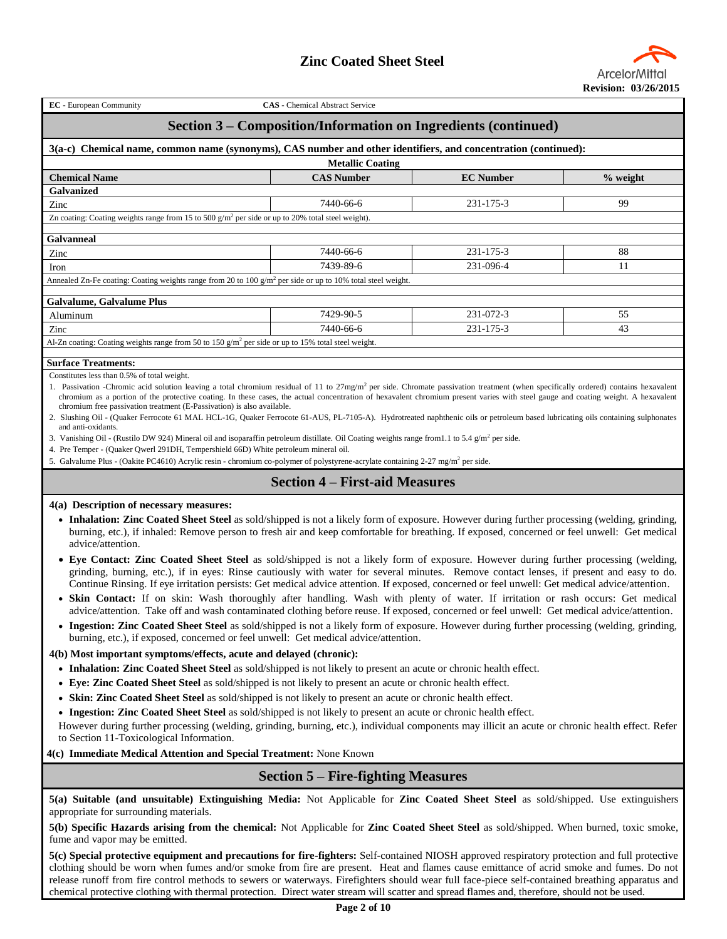

|                                                                                                                                                                                                                                                                                                                                                                                                                                                                                                                                                                                                                                                                                       |                                                                                                                |                  | WWW.COMMOD.COM |  |
|---------------------------------------------------------------------------------------------------------------------------------------------------------------------------------------------------------------------------------------------------------------------------------------------------------------------------------------------------------------------------------------------------------------------------------------------------------------------------------------------------------------------------------------------------------------------------------------------------------------------------------------------------------------------------------------|----------------------------------------------------------------------------------------------------------------|------------------|----------------|--|
| <b>EC</b> - European Community                                                                                                                                                                                                                                                                                                                                                                                                                                                                                                                                                                                                                                                        | <b>CAS</b> - Chemical Abstract Service                                                                         |                  |                |  |
|                                                                                                                                                                                                                                                                                                                                                                                                                                                                                                                                                                                                                                                                                       | Section 3 – Composition/Information on Ingredients (continued)                                                 |                  |                |  |
|                                                                                                                                                                                                                                                                                                                                                                                                                                                                                                                                                                                                                                                                                       | 3(a-c) Chemical name, common name (synonyms), CAS number and other identifiers, and concentration (continued): |                  |                |  |
|                                                                                                                                                                                                                                                                                                                                                                                                                                                                                                                                                                                                                                                                                       | <b>Metallic Coating</b>                                                                                        |                  |                |  |
| <b>Chemical Name</b>                                                                                                                                                                                                                                                                                                                                                                                                                                                                                                                                                                                                                                                                  | <b>CAS Number</b>                                                                                              | <b>EC</b> Number | % weight       |  |
| <b>Galvanized</b>                                                                                                                                                                                                                                                                                                                                                                                                                                                                                                                                                                                                                                                                     |                                                                                                                |                  |                |  |
| Zinc                                                                                                                                                                                                                                                                                                                                                                                                                                                                                                                                                                                                                                                                                  | 7440-66-6                                                                                                      | 231-175-3        | 99             |  |
| Zn coating: Coating weights range from 15 to 500 $g/m^2$ per side or up to 20% total steel weight).                                                                                                                                                                                                                                                                                                                                                                                                                                                                                                                                                                                   |                                                                                                                |                  |                |  |
| Galvanneal                                                                                                                                                                                                                                                                                                                                                                                                                                                                                                                                                                                                                                                                            |                                                                                                                |                  |                |  |
| Zinc                                                                                                                                                                                                                                                                                                                                                                                                                                                                                                                                                                                                                                                                                  | 7440-66-6                                                                                                      | 231-175-3        | 88             |  |
| Iron                                                                                                                                                                                                                                                                                                                                                                                                                                                                                                                                                                                                                                                                                  | 7439-89-6                                                                                                      | 231-096-4        | 11             |  |
| Annealed Zn-Fe coating: Coating weights range from 20 to 100 $g/m^2$ per side or up to 10% total steel weight.                                                                                                                                                                                                                                                                                                                                                                                                                                                                                                                                                                        |                                                                                                                |                  |                |  |
|                                                                                                                                                                                                                                                                                                                                                                                                                                                                                                                                                                                                                                                                                       |                                                                                                                |                  |                |  |
| <b>Galvalume, Galvalume Plus</b>                                                                                                                                                                                                                                                                                                                                                                                                                                                                                                                                                                                                                                                      |                                                                                                                |                  |                |  |
| Aluminum                                                                                                                                                                                                                                                                                                                                                                                                                                                                                                                                                                                                                                                                              | 7429-90-5                                                                                                      | 231-072-3        | 55             |  |
| Zinc                                                                                                                                                                                                                                                                                                                                                                                                                                                                                                                                                                                                                                                                                  | 7440-66-6                                                                                                      | 231-175-3        | 43             |  |
| Al-Zn coating: Coating weights range from 50 to 150 $g/m^2$ per side or up to 15% total steel weight.                                                                                                                                                                                                                                                                                                                                                                                                                                                                                                                                                                                 |                                                                                                                |                  |                |  |
| <b>Surface Treatments:</b>                                                                                                                                                                                                                                                                                                                                                                                                                                                                                                                                                                                                                                                            |                                                                                                                |                  |                |  |
|                                                                                                                                                                                                                                                                                                                                                                                                                                                                                                                                                                                                                                                                                       |                                                                                                                |                  |                |  |
| Constitutes less than 0.5% of total weight.<br>1. Passivation -Chromic acid solution leaving a total chromium residual of 11 to $27mg/m^2$ per side. Chromate passivation treatment (when specifically ordered) contains hexavalent<br>chromium as a portion of the protective coating. In these cases, the actual concentration of hexavalent chromium present varies with steel gauge and coating weight. A hexavalent<br>chromium free passivation treatment (E-Passivation) is also available.<br>2. Slushing Oil - (Quaker Ferrocote 61 MAL HCL-1G, Quaker Ferrocote 61-AUS, PL-7105-A). Hydrotreated naphthenic oils or petroleum based lubricating oils containing sulphonates |                                                                                                                |                  |                |  |
| and anti-oxidants.                                                                                                                                                                                                                                                                                                                                                                                                                                                                                                                                                                                                                                                                    |                                                                                                                |                  |                |  |

3. Vanishing Oil - (Rustilo DW 924) Mineral oil and isoparaffin petroleum distillate. Oil Coating weights range from1.1 to 5.4 g/m<sup>2</sup> per side.

4. Pre Temper - (Quaker Qwerl 291DH, Tempershield 66D) White petroleum mineral oil.

5. Galvalume Plus - (Oakite PC4610) Acrylic resin - chromium co-polymer of polystyrene-acrylate containing 2-27 mg/m<sup>2</sup> per side.

## **Section 4 – First-aid Measures**

#### **4(a) Description of necessary measures:**

- **Inhalation: Zinc Coated Sheet Steel** as sold/shipped is not a likely form of exposure. However during further processing (welding, grinding, burning, etc.), if inhaled: Remove person to fresh air and keep comfortable for breathing. If exposed, concerned or feel unwell: Get medical advice/attention.
- **Eye Contact: Zinc Coated Sheet Steel** as sold/shipped is not a likely form of exposure. However during further processing (welding, grinding, burning, etc.), if in eyes: Rinse cautiously with water for several minutes. Remove contact lenses, if present and easy to do. Continue Rinsing. If eye irritation persists: Get medical advice attention. If exposed, concerned or feel unwell: Get medical advice/attention.
- Skin Contact: If on skin: Wash thoroughly after handling. Wash with plenty of water. If irritation or rash occurs: Get medical advice/attention. Take off and wash contaminated clothing before reuse. If exposed, concerned or feel unwell: Get medical advice/attention.
- **Ingestion: Zinc Coated Sheet Steel** as sold/shipped is not a likely form of exposure. However during further processing (welding, grinding, burning, etc.), if exposed, concerned or feel unwell: Get medical advice/attention.

#### **4(b) Most important symptoms/effects, acute and delayed (chronic):**

- **Inhalation: Zinc Coated Sheet Steel** as sold/shipped is not likely to present an acute or chronic health effect.
- **Eye: Zinc Coated Sheet Steel** as sold/shipped is not likely to present an acute or chronic health effect.
- **Skin: Zinc Coated Sheet Steel** as sold/shipped is not likely to present an acute or chronic health effect.
- **Ingestion: Zinc Coated Sheet Steel** as sold/shipped is not likely to present an acute or chronic health effect.

However during further processing (welding, grinding, burning, etc.), individual components may illicit an acute or chronic health effect. Refer to Section 11-Toxicological Information.

**4(c) Immediate Medical Attention and Special Treatment:** None Known

## **Section 5 – Fire-fighting Measures**

**5(a) Suitable (and unsuitable) Extinguishing Media:** Not Applicable for **Zinc Coated Sheet Steel** as sold/shipped. Use extinguishers appropriate for surrounding materials.

**5(b) Specific Hazards arising from the chemical:** Not Applicable for **Zinc Coated Sheet Steel** as sold/shipped. When burned, toxic smoke, fume and vapor may be emitted.

**5(c) Special protective equipment and precautions for fire-fighters:** Self-contained NIOSH approved respiratory protection and full protective clothing should be worn when fumes and/or smoke from fire are present. Heat and flames cause emittance of acrid smoke and fumes. Do not release runoff from fire control methods to sewers or waterways. Firefighters should wear full face-piece self-contained breathing apparatus and chemical protective clothing with thermal protection. Direct water stream will scatter and spread flames and, therefore, should not be used.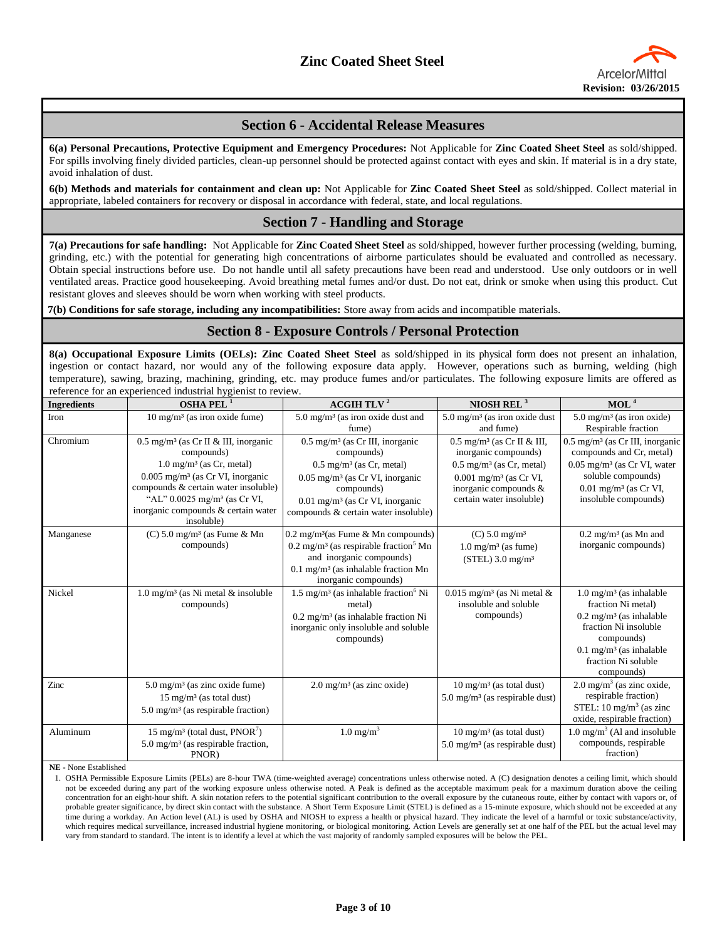

#### **Section 6 - Accidental Release Measures**

**6(a) Personal Precautions, Protective Equipment and Emergency Procedures:** Not Applicable for **Zinc Coated Sheet Steel** as sold/shipped. For spills involving finely divided particles, clean-up personnel should be protected against contact with eyes and skin. If material is in a dry state, avoid inhalation of dust.

**6(b) Methods and materials for containment and clean up:** Not Applicable for **Zinc Coated Sheet Steel** as sold/shipped. Collect material in appropriate, labeled containers for recovery or disposal in accordance with federal, state, and local regulations.

#### **Section 7 - Handling and Storage**

**7(a) Precautions for safe handling:** Not Applicable for **Zinc Coated Sheet Steel** as sold/shipped, however further processing (welding, burning, grinding, etc.) with the potential for generating high concentrations of airborne particulates should be evaluated and controlled as necessary. Obtain special instructions before use. Do not handle until all safety precautions have been read and understood. Use only outdoors or in well ventilated areas. Practice good housekeeping. Avoid breathing metal fumes and/or dust. Do not eat, drink or smoke when using this product. Cut resistant gloves and sleeves should be worn when working with steel products.

**7(b) Conditions for safe storage, including any incompatibilities:** Store away from acids and incompatible materials.

#### **Section 8 - Exposure Controls / Personal Protection**

**8(a) Occupational Exposure Limits (OELs): Zinc Coated Sheet Steel** as sold/shipped in its physical form does not present an inhalation, ingestion or contact hazard, nor would any of the following exposure data apply. However, operations such as burning, welding (high temperature), sawing, brazing, machining, grinding, etc. may produce fumes and/or particulates. The following exposure limits are offered as reference for an experienced industrial hygienist to review.

| <b>Ingredients</b> | OSHA PEL <sup>1</sup>                                                                                                                                                                                                                                                                             | <b>ACGIH TLV<sup>2</sup></b>                                                                                                                                                                                                                          | NIOSH REL $3$                                                                                                                                                                                        | MOL <sup>4</sup>                                                                                                                                                                                                    |
|--------------------|---------------------------------------------------------------------------------------------------------------------------------------------------------------------------------------------------------------------------------------------------------------------------------------------------|-------------------------------------------------------------------------------------------------------------------------------------------------------------------------------------------------------------------------------------------------------|------------------------------------------------------------------------------------------------------------------------------------------------------------------------------------------------------|---------------------------------------------------------------------------------------------------------------------------------------------------------------------------------------------------------------------|
| Iron               | 10 mg/m <sup>3</sup> (as iron oxide fume)                                                                                                                                                                                                                                                         | 5.0 mg/m <sup>3</sup> (as iron oxide dust and<br>fume)                                                                                                                                                                                                | $5.0$ mg/m <sup>3</sup> (as iron oxide dust<br>and fume)                                                                                                                                             | $5.0 \text{ mg/m}^3$ (as iron oxide)<br>Respirable fraction                                                                                                                                                         |
| Chromium           | $0.5 \text{ mg/m}^3$ (as Cr II & III, inorganic<br>compounds)<br>$1.0 \text{ mg/m}^3$ (as Cr, metal)<br>$0.005$ mg/m <sup>3</sup> (as Cr VI, inorganic<br>compounds & certain water insoluble)<br>"AL" $0.0025$ mg/m <sup>3</sup> (as Cr VI,<br>inorganic compounds & certain water<br>insoluble) | $0.5 \text{ mg/m}^3$ (as Cr III, inorganic<br>compounds)<br>$0.5 \text{ mg/m}^3$ (as Cr, metal)<br>$0.05$ mg/m <sup>3</sup> (as Cr VI, inorganic<br>compounds)<br>0.01 mg/m <sup>3</sup> (as Cr VI, inorganic<br>compounds & certain water insoluble) | $0.5$ mg/m <sup>3</sup> (as Cr II & III,<br>inorganic compounds)<br>$0.5 \text{ mg/m}^3$ (as Cr, metal)<br>$0.001$ mg/m <sup>3</sup> (as Cr VI,<br>inorganic compounds &<br>certain water insoluble) | $0.5 \text{ mg/m}^3$ (as Cr III, inorganic<br>compounds and Cr, metal)<br>$0.05$ mg/m <sup>3</sup> (as Cr VI, water<br>soluble compounds)<br>$0.01$ mg/m <sup>3</sup> (as Cr VI,<br>insoluble compounds)            |
| Manganese          | $(C)$ 5.0 mg/m <sup>3</sup> (as Fume & Mn<br>compounds)                                                                                                                                                                                                                                           | $0.2 \text{ mg/m}^3$ (as Fume & Mn compounds)<br>$0.2 \text{ mg/m}^3$ (as respirable fraction <sup>5</sup> Mn<br>and inorganic compounds)<br>$0.1$ mg/m <sup>3</sup> (as inhalable fraction Mn<br>inorganic compounds)                                | $(C) 5.0$ mg/m <sup>3</sup><br>$1.0 \text{ mg/m}^3$ (as fume)<br>$(STEL)$ 3.0 mg/m <sup>3</sup>                                                                                                      | $0.2 \text{ mg/m}^3$ (as Mn and<br>inorganic compounds)                                                                                                                                                             |
| Nickel             | $1.0 \text{ mg/m}^3$ (as Ni metal & insoluble<br>compounds)                                                                                                                                                                                                                                       | $1.5 \text{ mg/m}^3$ (as inhalable fraction <sup>6</sup> Ni<br>metal)<br>$0.2 \text{ mg/m}^3$ (as inhalable fraction Ni<br>inorganic only insoluble and soluble<br>compounds)                                                                         | $0.015$ mg/m <sup>3</sup> (as Ni metal &<br>insoluble and soluble<br>compounds)                                                                                                                      | $1.0 \text{ mg/m}^3$ (as inhalable<br>fraction Ni metal)<br>$0.2 \text{ mg/m}^3$ (as inhalable<br>fraction Ni insoluble<br>compounds)<br>$0.1$ mg/m <sup>3</sup> (as inhalable<br>fraction Ni soluble<br>compounds) |
| Zinc               | $5.0 \text{ mg/m}^3$ (as zinc oxide fume)<br>$15 \text{ mg/m}^3$ (as total dust)<br>$5.0 \text{ mg/m}^3$ (as respirable fraction)                                                                                                                                                                 | $2.0 \text{ mg/m}^3$ (as zinc oxide)                                                                                                                                                                                                                  | $10 \text{ mg/m}^3$ (as total dust)<br>$5.0 \text{ mg/m}^3$ (as respirable dust)                                                                                                                     | $2.0$ mg/m <sup>3</sup> (as zinc oxide,<br>respirable fraction)<br>STEL: 10 mg/m <sup>3</sup> (as zinc<br>oxide, respirable fraction)                                                                               |
| Aluminum           | 15 mg/m <sup>3</sup> (total dust, $PNOR7$ )<br>$5.0 \text{ mg/m}^3$ (as respirable fraction,<br>PNOR)                                                                                                                                                                                             | $1.0 \text{ mg/m}^3$                                                                                                                                                                                                                                  | $10 \text{ mg/m}^3$ (as total dust)<br>$5.0 \text{ mg/m}^3$ (as respirable dust)                                                                                                                     | $1.0 \text{ mg/m}^3$ (Al and insoluble<br>compounds, respirable<br>fraction)                                                                                                                                        |

**NE -** None Established

1. OSHA Permissible Exposure Limits (PELs) are 8-hour TWA (time-weighted average) concentrations unless otherwise noted. A (C) designation denotes a ceiling limit, which should not be exceeded during any part of the working exposure unless otherwise noted. A Peak is defined as the acceptable maximum peak for a maximum duration above the ceiling concentration for an eight-hour shift. A skin notation refers to the potential significant contribution to the overall exposure by the cutaneous route, either by contact with vapors or, of probable greater significance, by direct skin contact with the substance. A Short Term Exposure Limit (STEL) is defined as a 15-minute exposure, which should not be exceeded at any time during a workday. An Action level (AL) is used by OSHA and NIOSH to express a health or physical hazard. They indicate the level of a harmful or toxic substance/activity, which requires medical surveillance, increased industrial hygiene monitoring, or biological monitoring. Action Levels are generally set at one half of the PEL but the actual level may vary from standard to standard. The intent is to identify a level at which the vast majority of randomly sampled exposures will be below the PEL.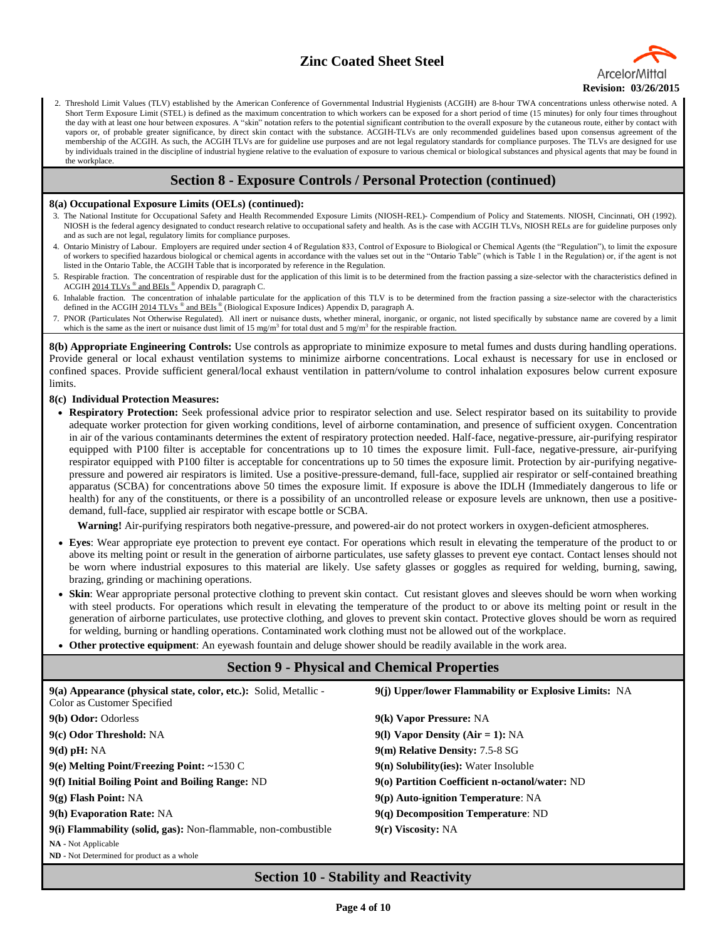

2. Threshold Limit Values (TLV) established by the American Conference of Governmental Industrial Hygienists (ACGIH) are 8-hour TWA concentrations unless otherwise noted. A Short Term Exposure Limit (STEL) is defined as the maximum concentration to which workers can be exposed for a short period of time (15 minutes) for only four times throughout the day with at least one hour between exposures. A "skin" notation refers to the potential significant contribution to the overall exposure by the cutaneous route, either by contact with vapors or, of probable greater significance, by direct skin contact with the substance. ACGIH-TLVs are only recommended guidelines based upon consensus agreement of the membership of the ACGIH. As such, the ACGIH TLVs are for guideline use purposes and are not legal regulatory standards for compliance purposes. The TLVs are designed for use by individuals trained in the discipline of industrial hygiene relative to the evaluation of exposure to various chemical or biological substances and physical agents that may be found in the workplace.

## **Section 8 - Exposure Controls / Personal Protection (continued)**

#### **8(a) Occupational Exposure Limits (OELs) (continued):**

- 3. The National Institute for Occupational Safety and Health Recommended Exposure Limits (NIOSH-REL)- Compendium of Policy and Statements. NIOSH, Cincinnati, OH (1992). NIOSH is the federal agency designated to conduct research relative to occupational safety and health. As is the case with ACGIH TLVs, NIOSH RELs are for guideline purposes only and as such are not legal, regulatory limits for compliance purposes.
- 4. Ontario Ministry of Labour. Employers are required under section 4 of Regulation 833, Control of Exposure to Biological or Chemical Agents (the "Regulation"), to limit the exposure of workers to specified hazardous biological or chemical agents in accordance with the values set out in the "Ontario Table" (which is Table 1 in the Regulation) or, if the agent is not listed in the Ontario Table, the ACGIH Table that is incorporated by reference in the Regulation.
- 5. Respirable fraction. The concentration of respirable dust for the application of this limit is to be determined from the fraction passing a size-selector with the characteristics defined in ACGIH 2014 TLVs ® and BEIs ® Appendix D, paragraph C.
- 6. Inhalable fraction. The concentration of inhalable particulate for the application of this TLV is to be determined from the fraction passing a size-selector with the characteristics defined in the ACGIH 2014 TLVs <sup>®</sup> and BEIs <sup>®</sup> (Biological Exposure Indices) Appendix D, paragraph A.
- 7. PNOR (Particulates Not Otherwise Regulated). All inert or nuisance dusts, whether mineral, inorganic, or organic, not listed specifically by substance name are covered by a limit which is the same as the inert or nuisance dust limit of 15 mg/m<sup>3</sup> for total dust and 5 mg/m<sup>3</sup> for the respirable fraction.

**8(b) Appropriate Engineering Controls:** Use controls as appropriate to minimize exposure to metal fumes and dusts during handling operations. Provide general or local exhaust ventilation systems to minimize airborne concentrations. Local exhaust is necessary for use in enclosed or confined spaces. Provide sufficient general/local exhaust ventilation in pattern/volume to control inhalation exposures below current exposure limits.

#### **8(c) Individual Protection Measures:**

• Respiratory Protection: Seek professional advice prior to respirator selection and use. Select respirator based on its suitability to provide adequate worker protection for given working conditions, level of airborne contamination, and presence of sufficient oxygen. Concentration in air of the various contaminants determines the extent of respiratory protection needed. Half-face, negative-pressure, air-purifying respirator equipped with P100 filter is acceptable for concentrations up to 10 times the exposure limit. Full-face, negative-pressure, air-purifying respirator equipped with P100 filter is acceptable for concentrations up to 50 times the exposure limit. Protection by air-purifying negativepressure and powered air respirators is limited. Use a positive-pressure-demand, full-face, supplied air respirator or self-contained breathing apparatus (SCBA) for concentrations above 50 times the exposure limit. If exposure is above the IDLH (Immediately dangerous to life or health) for any of the constituents, or there is a possibility of an uncontrolled release or exposure levels are unknown, then use a positivedemand, full-face, supplied air respirator with escape bottle or SCBA.

**Warning!** Air-purifying respirators both negative-pressure, and powered-air do not protect workers in oxygen-deficient atmospheres.

- **Eyes**: Wear appropriate eye protection to prevent eye contact. For operations which result in elevating the temperature of the product to or above its melting point or result in the generation of airborne particulates, use safety glasses to prevent eye contact. Contact lenses should not be worn where industrial exposures to this material are likely. Use safety glasses or goggles as required for welding, burning, sawing, brazing, grinding or machining operations.
- **Skin**: Wear appropriate personal protective clothing to prevent skin contact. Cut resistant gloves and sleeves should be worn when working with steel products. For operations which result in elevating the temperature of the product to or above its melting point or result in the generation of airborne particulates, use protective clothing, and gloves to prevent skin contact. Protective gloves should be worn as required for welding, burning or handling operations. Contaminated work clothing must not be allowed out of the workplace.
- **Other protective equipment**: An eyewash fountain and deluge shower should be readily available in the work area.

| <b>Section 9 - Physical and Chemical Properties</b>                                             |                                                       |  |  |
|-------------------------------------------------------------------------------------------------|-------------------------------------------------------|--|--|
| 9(a) Appearance (physical state, color, etc.): Solid, Metallic -<br>Color as Customer Specified | 9(j) Upper/lower Flammability or Explosive Limits: NA |  |  |
| 9(b) Odor: Odorless                                                                             | 9(k) Vapor Pressure: NA                               |  |  |
| 9(c) Odor Threshold: NA                                                                         | 9(1) Vapor Density (Air = 1): $NA$                    |  |  |
| $9(d)$ pH: NA                                                                                   | 9(m) Relative Density: 7.5-8 SG                       |  |  |
| 9(e) Melting Point/Freezing Point: ~1530 C                                                      | $9(n)$ Solubility(ies): Water Insoluble               |  |  |
| 9(f) Initial Boiling Point and Boiling Range: ND                                                | 9(o) Partition Coefficient n-octanol/water: ND        |  |  |
| $9(g)$ Flash Point: NA                                                                          | $9(p)$ Auto-ignition Temperature: NA                  |  |  |
| 9(h) Evaporation Rate: NA                                                                       | $9(q)$ Decomposition Temperature: ND                  |  |  |
| 9(i) Flammability (solid, gas): Non-flammable, non-combustible                                  | 9(r) Viscosity: NA                                    |  |  |
| NA - Not Applicable<br>ND - Not Determined for product as a whole                               |                                                       |  |  |

**Section 10 - Stability and Reactivity**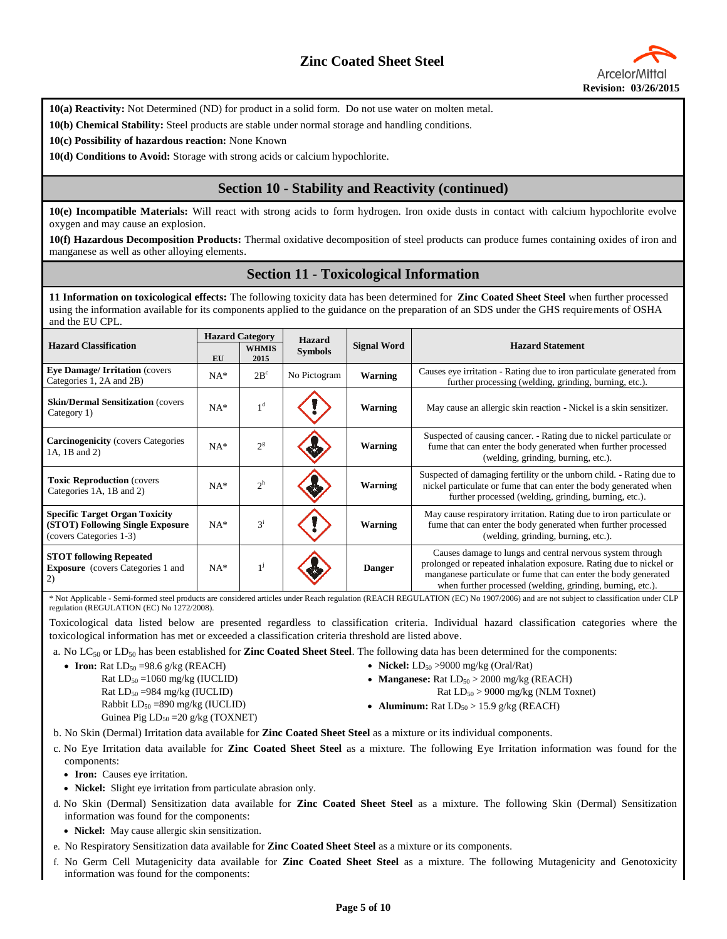

**10(a) Reactivity:** Not Determined (ND) for product in a solid form. Do not use water on molten metal.

**10(b) Chemical Stability:** Steel products are stable under normal storage and handling conditions.

**10(c) Possibility of hazardous reaction:** None Known

**10(d) Conditions to Avoid:** Storage with strong acids or calcium hypochlorite.

#### **Section 10 - Stability and Reactivity (continued)**

**10(e) Incompatible Materials:** Will react with strong acids to form hydrogen. Iron oxide dusts in contact with calcium hypochlorite evolve oxygen and may cause an explosion.

**10(f) Hazardous Decomposition Products:** Thermal oxidative decomposition of steel products can produce fumes containing oxides of iron and manganese as well as other alloying elements.

#### **Section 11 - Toxicological Information**

**11 Information on toxicological effects:** The following toxicity data has been determined for **Zinc Coated Sheet Steel** when further processed using the information available for its components applied to the guidance on the preparation of an SDS under the GHS requirements of OSHA and the EU CPL.

|                                                                                                      | <b>Hazard Category</b> |                      | <b>Hazard</b>  |                    |                                                                                                                                                                                                                                                                  |  |
|------------------------------------------------------------------------------------------------------|------------------------|----------------------|----------------|--------------------|------------------------------------------------------------------------------------------------------------------------------------------------------------------------------------------------------------------------------------------------------------------|--|
| <b>Hazard Classification</b>                                                                         | EU                     | <b>WHMIS</b><br>2015 | <b>Symbols</b> | <b>Signal Word</b> | <b>Hazard Statement</b>                                                                                                                                                                                                                                          |  |
| <b>Eye Damage/Irritation (covers)</b><br>Categories 1, 2A and 2B)                                    | $NA*$                  | $2B^c$               | No Pictogram   | <b>Warning</b>     | Causes eye irritation - Rating due to iron particulate generated from<br>further processing (welding, grinding, burning, etc.).                                                                                                                                  |  |
| <b>Skin/Dermal Sensitization (covers)</b><br>Category 1)                                             | $NA*$                  | 1 <sup>d</sup>       |                | Warning            | May cause an allergic skin reaction - Nickel is a skin sensitizer.                                                                                                                                                                                               |  |
| <b>Carcinogenicity</b> (covers Categories)<br>1A, 1B and 2)                                          | $NA*$                  | $2^{\rm g}$          |                | <b>Warning</b>     | Suspected of causing cancer. - Rating due to nickel particulate or<br>fume that can enter the body generated when further processed<br>(welding, grinding, burning, etc.).                                                                                       |  |
| <b>Toxic Reproduction (covers)</b><br>Categories 1A, 1B and 2)                                       | $NA*$                  | $2^h$                |                | Warning            | Suspected of damaging fertility or the unborn child. - Rating due to<br>nickel particulate or fume that can enter the body generated when<br>further processed (welding, grinding, burning, etc.).                                                               |  |
| <b>Specific Target Organ Toxicity</b><br>(STOT) Following Single Exposure<br>(covers Categories 1-3) | $NA*$                  | $3^{i}$              |                | Warning            | May cause respiratory irritation. Rating due to iron particulate or<br>fume that can enter the body generated when further processed<br>(welding, grinding, burning, etc.).                                                                                      |  |
| <b>STOT following Repeated</b><br><b>Exposure</b> (covers Categories 1 and<br>2)                     | $NA*$                  | $1^{j}$              |                | <b>Danger</b>      | Causes damage to lungs and central nervous system through<br>prolonged or repeated inhalation exposure. Rating due to nickel or<br>manganese particulate or fume that can enter the body generated<br>when further processed (welding, grinding, burning, etc.). |  |

\* Not Applicable - Semi-formed steel products are considered articles under Reach regulation (REACH REGULATION (EC) No 1907/2006) and are not subject to classification under CLP regulation (REGULATION (EC) No 1272/2008).

Toxicological data listed below are presented regardless to classification criteria. Individual hazard classification categories where the toxicological information has met or exceeded a classification criteria threshold are listed above.

a. No LC<sub>50</sub> or LD<sub>50</sub> has been established for **Zinc Coated Sheet Steel**. The following data has been determined for the components:

• **Iron:**  $Rat LD_{50} = 98.6$   $g/kg$  ( $REACH$ )

Rat  $LD_{50} = 1060$  mg/kg (IUCLID) Rat LD<sup>50</sup> =984 mg/kg (IUCLID) Rabbit LD<sup>50</sup> =890 mg/kg (IUCLID) Guinea Pig LD<sub>50</sub> = 20 g/kg (TOXNET)

- **Nickel:**  $LD_{50} > 9000$  mg/kg (Oral/Rat) • **Manganese:** Rat  $LD_{50} > 2000$  mg/kg (REACH)
	- Rat  $LD_{50}$  > 9000 mg/kg (NLM Toxnet)
- **Aluminum:** Rat  $LD_{50} > 15.9$  g/kg (REACH)

b. No Skin (Dermal) Irritation data available for **Zinc Coated Sheet Steel** as a mixture or its individual components.

- c. No Eye Irritation data available for **Zinc Coated Sheet Steel** as a mixture. The following Eye Irritation information was found for the components:
	- **Iron:** Causes eye irritation.
	- **Nickel:** Slight eye irritation from particulate abrasion only.
- d. No Skin (Dermal) Sensitization data available for **Zinc Coated Sheet Steel** as a mixture. The following Skin (Dermal) Sensitization information was found for the components:
	- **Nickel:** May cause allergic skin sensitization.
- e. No Respiratory Sensitization data available for **Zinc Coated Sheet Steel** as a mixture or its components.
- f. No Germ Cell Mutagenicity data available for **Zinc Coated Sheet Steel** as a mixture. The following Mutagenicity and Genotoxicity information was found for the components: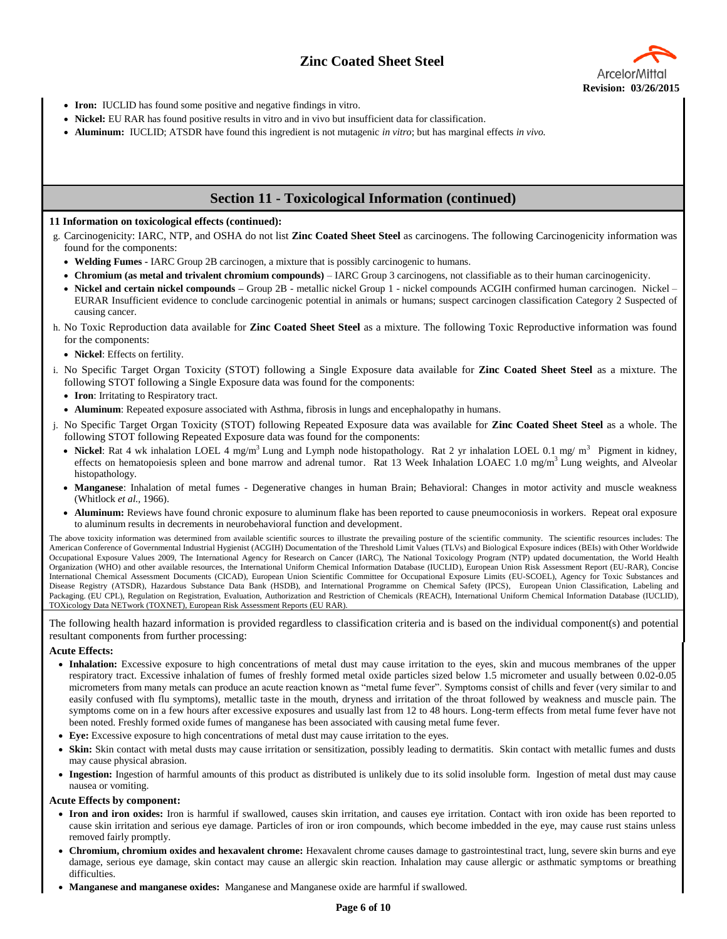

- **Iron:** IUCLID has found some positive and negative findings in vitro.
- **Nickel:** EU RAR has found positive results in vitro and in vivo but insufficient data for classification.
- **Aluminum:** IUCLID; ATSDR have found this ingredient is not mutagenic *in vitro*; but has marginal effects *in vivo.*

#### **Section 11 - Toxicological Information (continued)**

#### **11 Information on toxicological effects (continued):**

- g. Carcinogenicity: IARC, NTP, and OSHA do not list **Zinc Coated Sheet Steel** as carcinogens. The following Carcinogenicity information was found for the components:
	- **Welding Fumes -** IARC Group 2B carcinogen, a mixture that is possibly carcinogenic to humans.
	- **Chromium (as metal and trivalent chromium compounds)**  IARC Group 3 carcinogens, not classifiable as to their human carcinogenicity.
	- **Nickel and certain nickel compounds –** Group 2B metallic nickel Group 1 nickel compounds ACGIH confirmed human carcinogen. Nickel EURAR Insufficient evidence to conclude carcinogenic potential in animals or humans; suspect carcinogen classification Category 2 Suspected of causing cancer.
- h. No Toxic Reproduction data available for **Zinc Coated Sheet Steel** as a mixture. The following Toxic Reproductive information was found for the components:
	- **Nickel**: Effects on fertility.
- i. No Specific Target Organ Toxicity (STOT) following a Single Exposure data available for **Zinc Coated Sheet Steel** as a mixture. The following STOT following a Single Exposure data was found for the components:
	- **Iron**: Irritating to Respiratory tract.
	- **Aluminum**: Repeated exposure associated with Asthma, fibrosis in lungs and encephalopathy in humans.
- j. No Specific Target Organ Toxicity (STOT) following Repeated Exposure data was available for **Zinc Coated Sheet Steel** as a whole. The following STOT following Repeated Exposure data was found for the components:
	- Nickel: Rat 4 wk inhalation LOEL 4 mg/m<sup>3</sup> Lung and Lymph node histopathology. Rat 2 yr inhalation LOEL 0.1 mg/ m<sup>3</sup> Pigment in kidney, effects on hematopoiesis spleen and bone marrow and adrenal tumor. Rat 13 Week Inhalation LOAEC 1.0 mg/m<sup>3</sup> Lung weights, and Alveolar histopathology.
	- **Manganese**: Inhalation of metal fumes Degenerative changes in human Brain; Behavioral: Changes in motor activity and muscle weakness (Whitlock *et al.,* 1966).
	- **Aluminum:** Reviews have found chronic exposure to aluminum flake has been reported to cause pneumoconiosis in workers. Repeat oral exposure to aluminum results in decrements in neurobehavioral function and development.

The above toxicity information was determined from available scientific sources to illustrate the prevailing posture of the scientific community. The scientific resources includes: The American Conference of Governmental Industrial Hygienist (ACGIH) Documentation of the Threshold Limit Values (TLVs) and Biological Exposure indices (BEIs) with Other Worldwide Occupational Exposure Values 2009, The International Agency for Research on Cancer (IARC), The National Toxicology Program (NTP) updated documentation, the World Health Organization (WHO) and other available resources, the International Uniform Chemical Information Database (IUCLID), European Union Risk Assessment Report (EU-RAR), Concise International Chemical Assessment Documents (CICAD), European Union Scientific Committee for Occupational Exposure Limits (EU-SCOEL), Agency for Toxic Substances and Disease Registry (ATSDR), Hazardous Substance Data Bank (HSDB), and International Programme on Chemical Safety (IPCS), European Union Classification, Labeling and Packaging. (EU CPL), Regulation on Registration, Evaluation, Authorization and Restriction of Chemicals (REACH), International Uniform Chemical Information Database (IUCLID), TOXicology Data NETwork (TOXNET), European Risk Assessment Reports (EU RAR).

The following health hazard information is provided regardless to classification criteria and is based on the individual component(s) and potential resultant components from further processing:

#### **Acute Effects:**

- **Inhalation:** Excessive exposure to high concentrations of metal dust may cause irritation to the eyes, skin and mucous membranes of the upper respiratory tract. Excessive inhalation of fumes of freshly formed metal oxide particles sized below 1.5 micrometer and usually between 0.02-0.05 micrometers from many metals can produce an acute reaction known as "metal fume fever". Symptoms consist of chills and fever (very similar to and easily confused with flu symptoms), metallic taste in the mouth, dryness and irritation of the throat followed by weakness and muscle pain. The symptoms come on in a few hours after excessive exposures and usually last from 12 to 48 hours. Long-term effects from metal fume fever have not been noted. Freshly formed oxide fumes of manganese has been associated with causing metal fume fever.
- **Eye:** Excessive exposure to high concentrations of metal dust may cause irritation to the eyes.
- Skin: Skin contact with metal dusts may cause irritation or sensitization, possibly leading to dermatitis. Skin contact with metallic fumes and dusts may cause physical abrasion.
- **Ingestion:** Ingestion of harmful amounts of this product as distributed is unlikely due to its solid insoluble form. Ingestion of metal dust may cause nausea or vomiting.

#### **Acute Effects by component:**

- **Iron and iron oxides:** Iron is harmful if swallowed, causes skin irritation, and causes eye irritation. Contact with iron oxide has been reported to cause skin irritation and serious eye damage. Particles of iron or iron compounds, which become imbedded in the eye, may cause rust stains unless removed fairly promptly.
- **Chromium, chromium oxides and hexavalent chrome:** Hexavalent chrome causes damage to gastrointestinal tract, lung, severe skin burns and eye damage, serious eye damage, skin contact may cause an allergic skin reaction. Inhalation may cause allergic or asthmatic symptoms or breathing difficulties.
- **Manganese and manganese oxides:** Manganese and Manganese oxide are harmful if swallowed.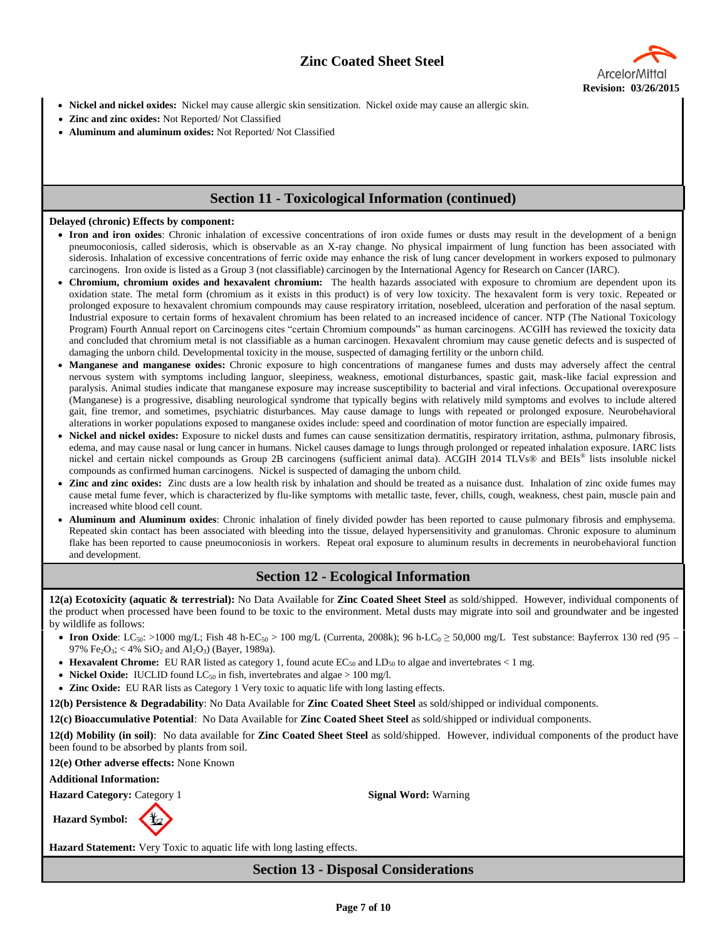

- **Nickel and nickel oxides:** Nickel may cause allergic skin sensitization. Nickel oxide may cause an allergic skin.
- **Zinc and zinc oxides:** Not Reported/ Not Classified
- **Aluminum and aluminum oxides:** Not Reported/ Not Classified

## **Section 11 - Toxicological Information (continued)**

#### **Delayed (chronic) Effects by component:**

- **Iron and iron oxides**: Chronic inhalation of excessive concentrations of iron oxide fumes or dusts may result in the development of a benign pneumoconiosis, called siderosis, which is observable as an X-ray change. No physical impairment of lung function has been associated with siderosis. Inhalation of excessive concentrations of ferric oxide may enhance the risk of lung cancer development in workers exposed to pulmonary carcinogens. Iron oxide is listed as a Group 3 (not classifiable) carcinogen by the International Agency for Research on Cancer (IARC).
- **Chromium, chromium oxides and hexavalent chromium:** The health hazards associated with exposure to chromium are dependent upon its oxidation state. The metal form (chromium as it exists in this product) is of very low toxicity. The hexavalent form is very toxic. Repeated or prolonged exposure to hexavalent chromium compounds may cause respiratory irritation, nosebleed, ulceration and perforation of the nasal septum. Industrial exposure to certain forms of hexavalent chromium has been related to an increased incidence of cancer. NTP (The National Toxicology Program) Fourth Annual report on Carcinogens cites "certain Chromium compounds" as human carcinogens. ACGIH has reviewed the toxicity data and concluded that chromium metal is not classifiable as a human carcinogen. Hexavalent chromium may cause genetic defects and is suspected of damaging the unborn child. Developmental toxicity in the mouse, suspected of damaging fertility or the unborn child.
- **Manganese and manganese oxides:** Chronic exposure to high concentrations of manganese fumes and dusts may adversely affect the central nervous system with symptoms including languor, sleepiness, weakness, emotional disturbances, spastic gait, mask-like facial expression and paralysis. Animal studies indicate that manganese exposure may increase susceptibility to bacterial and viral infections. Occupational overexposure (Manganese) is a progressive, disabling neurological syndrome that typically begins with relatively mild symptoms and evolves to include altered gait, fine tremor, and sometimes, psychiatric disturbances. May cause damage to lungs with repeated or prolonged exposure. Neurobehavioral alterations in worker populations exposed to manganese oxides include: speed and coordination of motor function are especially impaired.
- **Nickel and nickel oxides:** Exposure to nickel dusts and fumes can cause sensitization dermatitis, respiratory irritation, asthma, pulmonary fibrosis, edema, and may cause nasal or lung cancer in humans. Nickel causes damage to lungs through prolonged or repeated inhalation exposure. IARC lists nickel and certain nickel compounds as Group 2B carcinogens (sufficient animal data). ACGIH 2014 TLVs® and BEIs® lists insoluble nickel compounds as confirmed human carcinogens. Nickel is suspected of damaging the unborn child.
- **Zinc and zinc oxides:** Zinc dusts are a low health risk by inhalation and should be treated as a nuisance dust. Inhalation of zinc oxide fumes may cause metal fume fever, which is characterized by flu-like symptoms with metallic taste, fever, chills, cough, weakness, chest pain, muscle pain and increased white blood cell count.
- **Aluminum and Aluminum oxides**: Chronic inhalation of finely divided powder has been reported to cause pulmonary fibrosis and emphysema. Repeated skin contact has been associated with bleeding into the tissue, delayed hypersensitivity and granulomas. Chronic exposure to aluminum flake has been reported to cause pneumoconiosis in workers. Repeat oral exposure to aluminum results in decrements in neurobehavioral function and development.

#### **Section 12 - Ecological Information**

**12(a) Ecotoxicity (aquatic & terrestrial):** No Data Available for **Zinc Coated Sheet Steel** as sold/shipped. However, individual components of the product when processed have been found to be toxic to the environment. Metal dusts may migrate into soil and groundwater and be ingested by wildlife as follows:

- **Iron Oxide**: LC<sub>50</sub>: >1000 mg/L; Fish 48 h-EC<sub>50</sub> > 100 mg/L (Currenta, 2008k); 96 h-LC<sub>0</sub> ≥ 50,000 mg/L Test substance: Bayferrox 130 red (95 97% Fe<sub>2</sub>O<sub>3</sub>; < 4% SiO<sub>2</sub> and Al<sub>2</sub>O<sub>3</sub>) (Bayer, 1989a).
- **Hexavalent Chrome:** EU RAR listed as category 1, found acute  $EC_{50}$  and  $LD_{50}$  to algae and invertebrates  $< 1$  mg.
- **Nickel Oxide:** IUCLID found  $LC_{50}$  in fish, invertebrates and algae > 100 mg/l.
- **Zinc Oxide:** EU RAR lists as Category 1 Very toxic to aquatic life with long lasting effects.

**12(b) Persistence & Degradability**: No Data Available for **Zinc Coated Sheet Steel** as sold/shipped or individual components.

**12(c) Bioaccumulative Potential**: No Data Available for **Zinc Coated Sheet Steel** as sold/shipped or individual components.

**12(d) Mobility (in soil)**: No data available for **Zinc Coated Sheet Steel** as sold/shipped. However, individual components of the product have been found to be absorbed by plants from soil.

**12(e) Other adverse effects:** None Known

#### **Additional Information:**

**Hazard Category:** Category 1 **Signal Word:** Warning

**Hazard Symbol:**



**Hazard Statement:** Very Toxic to aquatic life with long lasting effects.

**Section 13 - Disposal Considerations**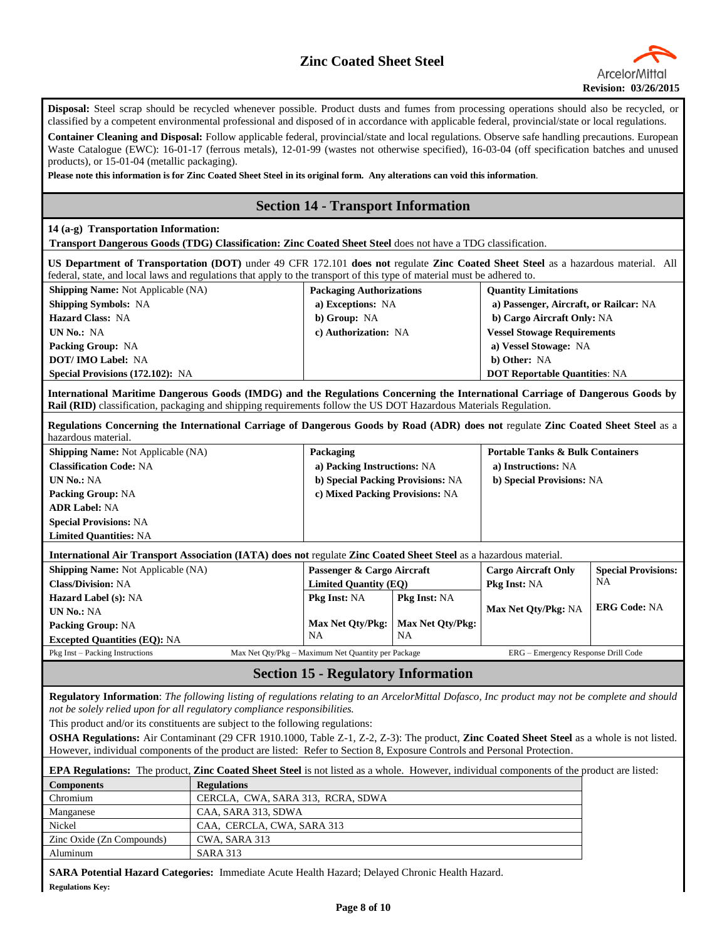

**Disposal:** Steel scrap should be recycled whenever possible. Product dusts and fumes from processing operations should also be recycled, or classified by a competent environmental professional and disposed of in accordance with applicable federal, provincial/state or local regulations.

**Container Cleaning and Disposal:** Follow applicable federal, provincial/state and local regulations. Observe safe handling precautions. European Waste Catalogue (EWC): 16-01-17 (ferrous metals), 12-01-99 (wastes not otherwise specified), 16-03-04 (off specification batches and unused products), or 15-01-04 (metallic packaging).

**Please note this information is for Zinc Coated Sheet Steel in its original form. Any alterations can void this information**.

## **Section 14 - Transport Information**

#### **14 (a-g) Transportation Information:**

**Transport Dangerous Goods (TDG) Classification: Zinc Coated Sheet Steel** does not have a TDG classification.

**US Department of Transportation (DOT)** under 49 CFR 172.101 **does not** regulate **Zinc Coated Sheet Steel** as a hazardous material. All federal, state, and local laws and regulations that apply to the transport of this type of material must be adhered to.

| <b>Shipping Name:</b> Not Applicable (NA) | <b>Packaging Authorizations</b> | <b>Quantity Limitations</b>            |
|-------------------------------------------|---------------------------------|----------------------------------------|
| <b>Shipping Symbols: NA</b>               | a) Exceptions: NA               | a) Passenger, Aircraft, or Railcar: NA |
| <b>Hazard Class: NA</b>                   | b) Group: NA                    | b) Cargo Aircraft Only: NA             |
| UN No.: NA                                | c) Authorization: NA            | <b>Vessel Stowage Requirements</b>     |
| <b>Packing Group: NA</b>                  |                                 | a) Vessel Stowage: NA                  |
| <b>DOT/IMO Label: NA</b>                  |                                 | b) Other: NA                           |
| <b>Special Provisions (172.102): NA</b>   |                                 | <b>DOT Reportable Quantities: NA</b>   |

**International Maritime Dangerous Goods (IMDG) and the Regulations Concerning the International Carriage of Dangerous Goods by Rail (RID)** classification, packaging and shipping requirements follow the US DOT Hazardous Materials Regulation.

**Regulations Concerning the International Carriage of Dangerous Goods by Road (ADR) does not** regulate **Zinc Coated Sheet Steel** as a hazardous material.

| <b>Shipping Name:</b> Not Applicable (NA)                                                                                                                                                                                                                                                                   | Packaging                                      | <b>Portable Tanks &amp; Bulk Containers</b> |  |  |  |
|-------------------------------------------------------------------------------------------------------------------------------------------------------------------------------------------------------------------------------------------------------------------------------------------------------------|------------------------------------------------|---------------------------------------------|--|--|--|
| <b>Classification Code: NA</b>                                                                                                                                                                                                                                                                              | a) Packing Instructions: NA                    | a) Instructions: NA                         |  |  |  |
| <b>UN No.: NA</b>                                                                                                                                                                                                                                                                                           | b) Special Packing Provisions: NA              | b) Special Provisions: NA                   |  |  |  |
| <b>Packing Group: NA</b>                                                                                                                                                                                                                                                                                    | c) Mixed Packing Provisions: NA                |                                             |  |  |  |
| <b>ADR Label: NA</b>                                                                                                                                                                                                                                                                                        |                                                |                                             |  |  |  |
| <b>Special Provisions: NA</b>                                                                                                                                                                                                                                                                               |                                                |                                             |  |  |  |
| <b>Limited Quantities: NA</b>                                                                                                                                                                                                                                                                               |                                                |                                             |  |  |  |
| International Air Transport Association (IATA) does not regulate Zinc Coated Sheet Steel as a hazardous material.                                                                                                                                                                                           |                                                |                                             |  |  |  |
| $\mathbf{C}$ . $\mathbf{L}$ . $\mathbf{L}$ . $\mathbf{L}$ . $\mathbf{L}$ . $\mathbf{L}$ . $\mathbf{L}$ . $\mathbf{L}$ . $\mathbf{L}$ . $\mathbf{L}$ . $\mathbf{L}$ . $\mathbf{L}$ . $\mathbf{L}$ . $\mathbf{L}$ . $\mathbf{L}$ . $\mathbf{L}$ . $\mathbf{L}$ . $\mathbf{L}$ . $\mathbf{L}$ . $\mathbf{L}$ . | $\mathbf{R}$ and $\mathbf{R}$ and $\mathbf{R}$ | $\alpha$ is easy                            |  |  |  |

| <b>Shipping Name:</b> Not Applicable (NA) |                                                    | Passenger & Cargo Aircraft |                                                   | <b>Special Provisions:</b> |
|-------------------------------------------|----------------------------------------------------|----------------------------|---------------------------------------------------|----------------------------|
| <b>Class/Division: NA</b>                 | <b>Limited Quantity (EQ)</b>                       |                            | <b>Pkg Inst: NA</b>                               | NA                         |
| <b>Hazard Label (s): NA</b>               | <b>Pkg Inst: NA</b>                                | <b>Pkg Inst: NA</b>        |                                                   |                            |
| <b>UN No.: NA</b>                         |                                                    |                            | <b>ERG Code: NA</b><br><b>Max Net Oty/Pkg: NA</b> |                            |
| <b>Packing Group: NA</b>                  | Max Net Qty/Pkg:                                   | <b>Max Net Oty/Pkg:</b>    |                                                   |                            |
| <b>Excepted Quantities (EQ): NA</b>       | NA                                                 | NА                         |                                                   |                            |
| Pkg Inst – Packing Instructions           | Max Net Oty/Pkg – Maximum Net Quantity per Package |                            | ERG – Emergency Response Drill Code               |                            |

#### **Section 15 - Regulatory Information**

**Regulatory Information**: *The following listing of regulations relating to an ArcelorMittal Dofasco, Inc product may not be complete and should not be solely relied upon for all regulatory compliance responsibilities.*

This product and/or its constituents are subject to the following regulations:

**OSHA Regulations:** Air Contaminant (29 CFR 1910.1000, Table Z-1, Z-2, Z-3): The product, **Zinc Coated Sheet Steel** as a whole is not listed. However, individual components of the product are listed: Refer to Section 8, Exposure Controls and Personal Protection.

| <b>EPA Regulations:</b> The product, <b>Zinc Coated Sheet Steel</b> is not listed as a whole. However, individual components of the product are listed: |                                   |  |  |  |  |
|---------------------------------------------------------------------------------------------------------------------------------------------------------|-----------------------------------|--|--|--|--|
| <b>Components</b>                                                                                                                                       | <b>Regulations</b>                |  |  |  |  |
| Chromium                                                                                                                                                | CERCLA, CWA, SARA 313, RCRA, SDWA |  |  |  |  |
| Manganese                                                                                                                                               | CAA, SARA 313, SDWA               |  |  |  |  |
| Nickel                                                                                                                                                  | CAA, CERCLA, CWA, SARA 313        |  |  |  |  |
| Zinc Oxide (Zn Compounds)                                                                                                                               | CWA, SARA 313                     |  |  |  |  |
| Aluminum                                                                                                                                                | <b>SARA 313</b>                   |  |  |  |  |

**SARA Potential Hazard Categories:** Immediate Acute Health Hazard; Delayed Chronic Health Hazard.

**Regulations Key:**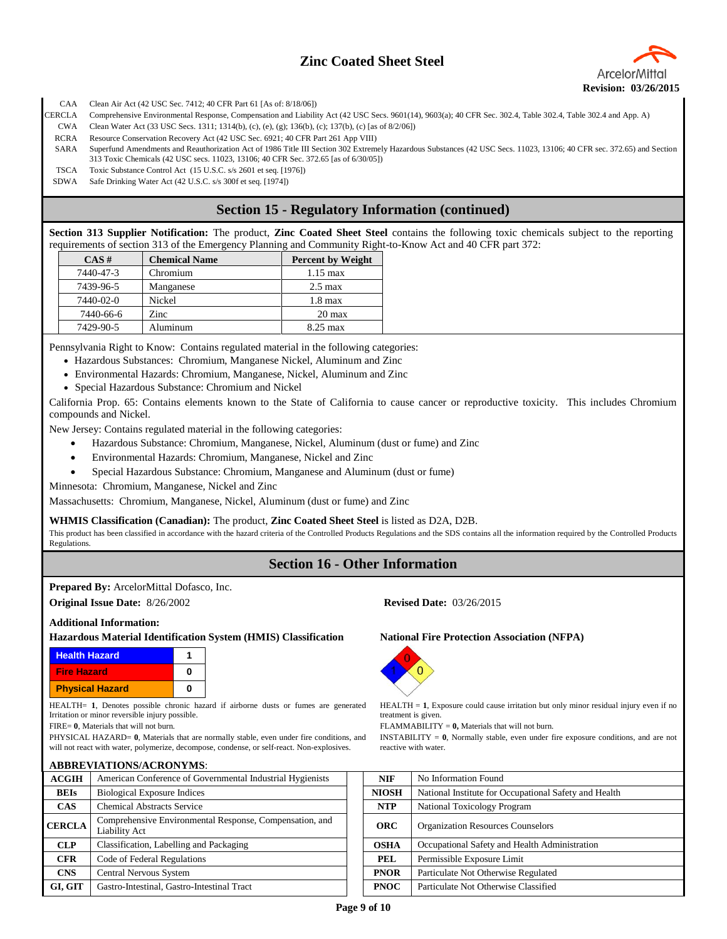

- CAA Clean Air Act (42 USC Sec. 7412; 40 CFR Part 61 [As of: 8/18/06])
- CERCLA Comprehensive Environmental Response, Compensation and Liability Act (42 USC Secs. 9601(14), 9603(a); 40 CFR Sec. 302.4, Table 302.4, Table 302.4 and App. A)
- CWA Clean Water Act (33 USC Secs. 1311; 1314(b), (c), (e), (g); 136(b), (c); 137(b), (c) [as of 8/2/06])
- RCRA Resource Conservation Recovery Act (42 USC Sec. 6921; 40 CFR Part 261 App VIII)
- SARA Superfund Amendments and Reauthorization Act of 1986 Title III Section 302 Extremely Hazardous Substances (42 USC Secs. 11023, 13106; 40 CFR sec. 372.65) and Section 313 Toxic Chemicals (42 USC secs. 11023, 13106; 40 CFR Sec. 372.65 [as of 6/30/05])
- TSCA Toxic Substance Control Act (15 U.S.C. s/s 2601 et seq. [1976])
- SDWA Safe Drinking Water Act (42 U.S.C. s/s 300f et seq. [1974])

## **Section 15 - Regulatory Information (continued)**

**Section 313 Supplier Notification:** The product, **Zinc Coated Sheet Steel** contains the following toxic chemicals subject to the reporting requirements of section 313 of the Emergency Planning and Community Right-to-Know Act and 40 CFR part 372:

| $CAS \#$  | <b>Chemical Name</b> | <b>Percent by Weight</b> |
|-----------|----------------------|--------------------------|
| 7440-47-3 | Chromium             | $1.15 \text{ max}$       |
| 7439-96-5 | Manganese            | $2.5 \text{ max}$        |
| 7440-02-0 | Nickel               | $1.8 \text{ max}$        |
| 7440-66-6 | Zinc                 | $20 \text{ max}$         |
| 7429-90-5 | Aluminum             | $8.25 \text{ max}$       |

Pennsylvania Right to Know: Contains regulated material in the following categories:

- Hazardous Substances: Chromium, Manganese Nickel, Aluminum and Zinc
- Environmental Hazards: Chromium, Manganese, Nickel, Aluminum and Zinc
- Special Hazardous Substance: Chromium and Nickel

California Prop. 65: Contains elements known to the State of California to cause cancer or reproductive toxicity. This includes Chromium compounds and Nickel.

New Jersey: Contains regulated material in the following categories:

- Hazardous Substance: Chromium, Manganese, Nickel, Aluminum (dust or fume) and Zinc
- Environmental Hazards: Chromium, Manganese, Nickel and Zinc
- Special Hazardous Substance: Chromium, Manganese and Aluminum (dust or fume)

Minnesota: Chromium, Manganese, Nickel and Zinc

Massachusetts: Chromium, Manganese, Nickel, Aluminum (dust or fume) and Zinc

#### **WHMIS Classification (Canadian):** The product, **Zinc Coated Sheet Steel** is listed as D2A, D2B.

This product has been classified in accordance with the hazard criteria of the Controlled Products Regulations and the SDS contains all the information required by the Controlled Products **Regulations** 

### **Section 16 - Other Information**

#### **Prepared By:** ArcelorMittal Dofasco, Inc.

**Original Issue Date:** 8/26/2002 **Revised Date:** 03/26/2015

#### **Additional Information:**

#### **Hazardous Material Identification System (HMIS) Classification National Fire Protection Association (NFPA)**

| <b>Health Hazard</b>   |  |
|------------------------|--|
| <b>Fire Hazard</b>     |  |
| <b>Physical Hazard</b> |  |

HEALTH= **1**, Denotes possible chronic hazard if airborne dusts or fumes are generated Irritation or minor reversible injury possible.

FIRE= **0**, Materials that will not burn.

PHYSICAL HAZARD= **0**, Materials that are normally stable, even under fire conditions, and will not react with water, polymerize, decompose, condense, or self-react. Non-explosives.

#### **ABBREVIATIONS/ACRONYMS**:

| <b>ACGIH</b>  | American Conference of Governmental Industrial Hygienists                | <b>NIF</b>   | No Information Found                                  |
|---------------|--------------------------------------------------------------------------|--------------|-------------------------------------------------------|
| <b>BEIs</b>   | <b>Biological Exposure Indices</b>                                       | <b>NIOSH</b> | National Institute for Occupational Safety and Health |
| <b>CAS</b>    | <b>Chemical Abstracts Service</b>                                        | <b>NTP</b>   | National Toxicology Program                           |
| <b>CERCLA</b> | Comprehensive Environmental Response, Compensation, and<br>Liability Act | <b>ORC</b>   | <b>Organization Resources Counselors</b>              |
| CLP           | Classification, Labelling and Packaging                                  | <b>OSHA</b>  | Occupational Safety and Health Administration         |
| <b>CFR</b>    | Code of Federal Regulations                                              | <b>PEL</b>   | Permissible Exposure Limit                            |
| <b>CNS</b>    | Central Nervous System                                                   | <b>PNOR</b>  | Particulate Not Otherwise Regulated                   |
| GI, GIT       | Gastro-Intestinal, Gastro-Intestinal Tract                               | <b>PNOC</b>  | Particulate Not Otherwise Classified                  |
|               |                                                                          |              |                                                       |



 $HEALTH = 1$ , Exposure could cause irritation but only minor residual injury even if no treatment is given.

FLAMMABILITY = **0,** Materials that will not burn.

INSTABILITY = **0**, Normally stable, even under fire exposure conditions, and are not reactive with water.

| <b>NIF</b>   | No Information Found                                  |  |  |
|--------------|-------------------------------------------------------|--|--|
| <b>NIOSH</b> | National Institute for Occupational Safety and Health |  |  |
| <b>NTP</b>   | National Toxicology Program                           |  |  |
| <b>ORC</b>   | <b>Organization Resources Counselors</b>              |  |  |
| <b>OSHA</b>  | Occupational Safety and Health Administration         |  |  |
| PEL.         | Permissible Exposure Limit                            |  |  |
| <b>PNOR</b>  | Particulate Not Otherwise Regulated                   |  |  |
| <b>PNOC</b>  | Particulate Not Otherwise Classified                  |  |  |
|              |                                                       |  |  |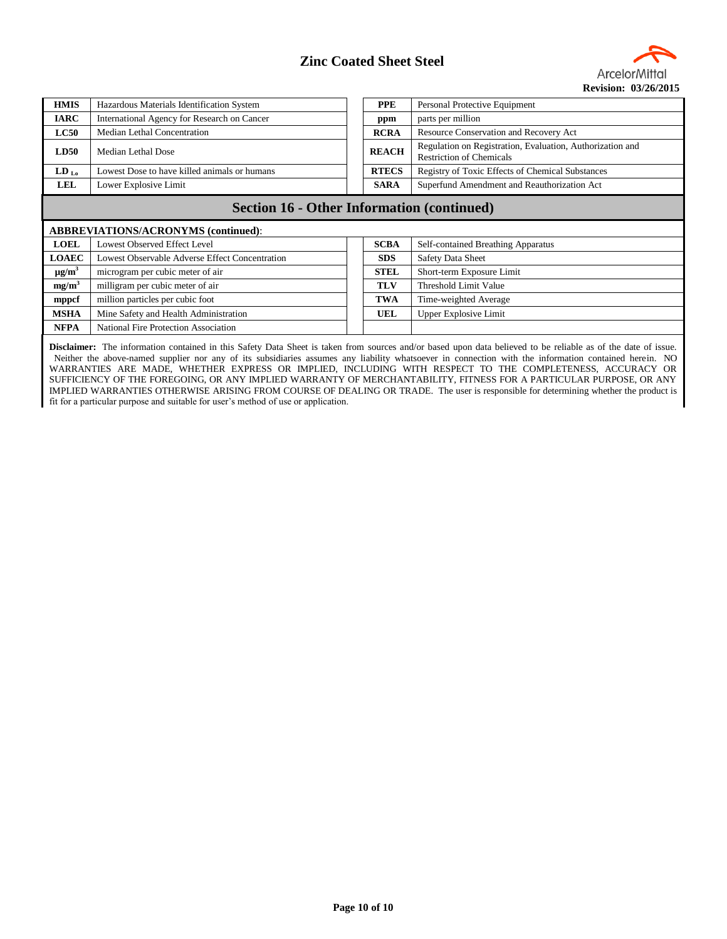

| <b>HMIS</b>                                       | Hazardous Materials Identification System    | <b>PPE</b>   | Personal Protective Equipment                                                                |  |
|---------------------------------------------------|----------------------------------------------|--------------|----------------------------------------------------------------------------------------------|--|
| <b>IARC</b>                                       | International Agency for Research on Cancer  | ppm          | parts per million                                                                            |  |
| LC50                                              | Median Lethal Concentration                  | <b>RCRA</b>  | Resource Conservation and Recovery Act                                                       |  |
| LD50                                              | Median Lethal Dose                           | <b>REACH</b> | Regulation on Registration, Evaluation, Authorization and<br><b>Restriction of Chemicals</b> |  |
| $LD_{L0}$                                         | Lowest Dose to have killed animals or humans | <b>RTECS</b> | Registry of Toxic Effects of Chemical Substances                                             |  |
| <b>LEL</b>                                        | Lower Explosive Limit                        | <b>SARA</b>  | Superfund Amendment and Reauthorization Act                                                  |  |
| <b>Section 16 - Other Information (continued)</b> |                                              |              |                                                                                              |  |

| <b>ABBREVIATIONS/ACRONYMS (continued):</b> |                                                |  |             |                                    |
|--------------------------------------------|------------------------------------------------|--|-------------|------------------------------------|
| <b>LOEL</b>                                | Lowest Observed Effect Level                   |  | <b>SCBA</b> | Self-contained Breathing Apparatus |
| <b>LOAEC</b>                               | Lowest Observable Adverse Effect Concentration |  | <b>SDS</b>  | <b>Safety Data Sheet</b>           |
| $\mu$ g/m <sup>3</sup>                     | microgram per cubic meter of air               |  | <b>STEL</b> | Short-term Exposure Limit          |
| mg/m <sup>3</sup>                          | milligram per cubic meter of air               |  | TLV         | Threshold Limit Value              |
| mppcf                                      | million particles per cubic foot               |  | <b>TWA</b>  | Time-weighted Average              |
| <b>MSHA</b>                                | Mine Safety and Health Administration          |  | <b>UEL</b>  | <b>Upper Explosive Limit</b>       |
| <b>NFPA</b>                                | National Fire Protection Association           |  |             |                                    |

**Disclaimer:** The information contained in this Safety Data Sheet is taken from sources and/or based upon data believed to be reliable as of the date of issue. Neither the above-named supplier nor any of its subsidiaries assumes any liability whatsoever in connection with the information contained herein. NO WARRANTIES ARE MADE, WHETHER EXPRESS OR IMPLIED, INCLUDING WITH RESPECT TO THE COMPLETENESS, ACCURACY OR SUFFICIENCY OF THE FOREGOING, OR ANY IMPLIED WARRANTY OF MERCHANTABILITY, FITNESS FOR A PARTICULAR PURPOSE, OR ANY IMPLIED WARRANTIES OTHERWISE ARISING FROM COURSE OF DEALING OR TRADE. The user is responsible for determining whether the product is fit for a particular purpose and suitable for user's method of use or application.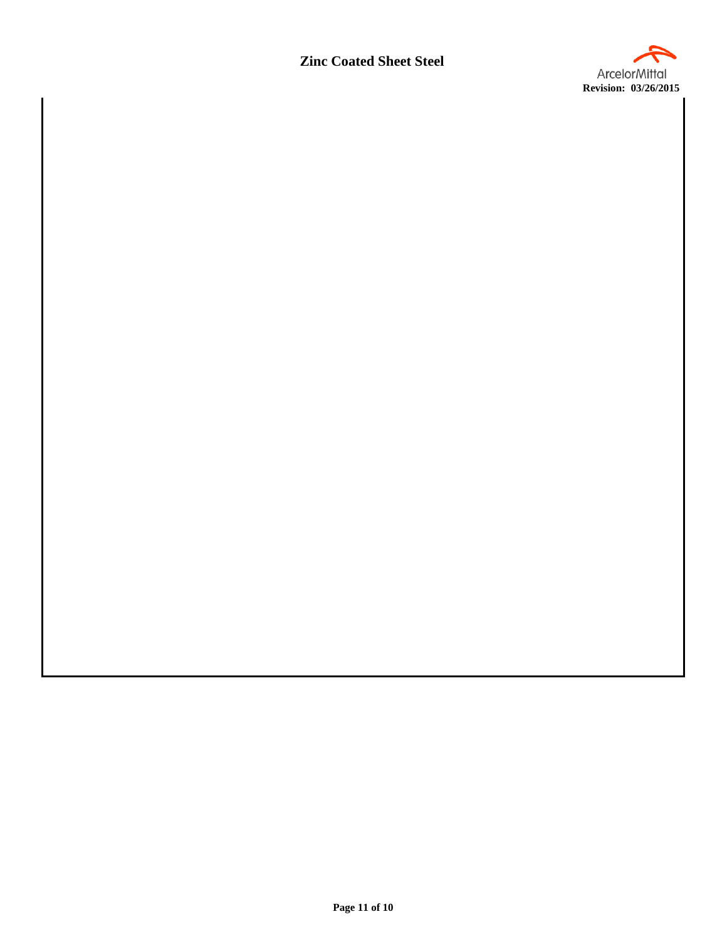